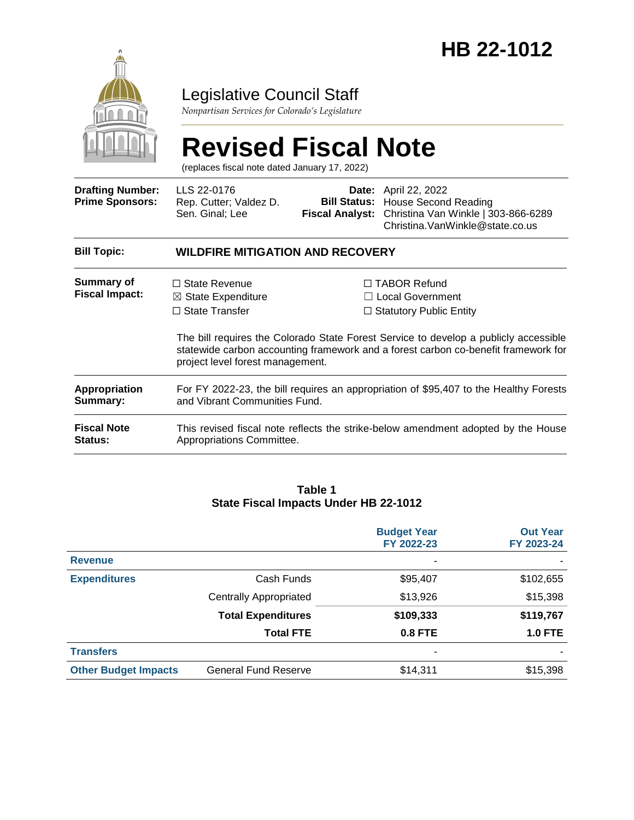

# Legislative Council Staff

*Nonpartisan Services for Colorado's Legislature*

# **Revised Fiscal Note**

(replaces fiscal note dated January 17, 2022)

| <b>Drafting Number:</b><br><b>Prime Sponsors:</b> | LLS 22-0176<br>Rep. Cutter; Valdez D.<br>Sen. Ginal; Lee                                                                                                                                                                                                                  | <b>Fiscal Analyst:</b>  | <b>Date:</b> April 22, 2022<br><b>Bill Status: House Second Reading</b><br>Christina Van Winkle   303-866-6289<br>Christina. VanWinkle@state.co.us |  |
|---------------------------------------------------|---------------------------------------------------------------------------------------------------------------------------------------------------------------------------------------------------------------------------------------------------------------------------|-------------------------|----------------------------------------------------------------------------------------------------------------------------------------------------|--|
| <b>Bill Topic:</b>                                | <b>WILDFIRE MITIGATION AND RECOVERY</b>                                                                                                                                                                                                                                   |                         |                                                                                                                                                    |  |
| Summary of                                        | $\Box$ State Revenue                                                                                                                                                                                                                                                      | $\Box$ TABOR Refund     |                                                                                                                                                    |  |
| <b>Fiscal Impact:</b>                             | $\boxtimes$ State Expenditure                                                                                                                                                                                                                                             | $\Box$ Local Government |                                                                                                                                                    |  |
|                                                   | $\Box$ State Transfer<br>$\Box$ Statutory Public Entity<br>The bill requires the Colorado State Forest Service to develop a publicly accessible<br>statewide carbon accounting framework and a forest carbon co-benefit framework for<br>project level forest management. |                         |                                                                                                                                                    |  |
| <b>Appropriation</b>                              | For FY 2022-23, the bill requires an appropriation of \$95,407 to the Healthy Forests                                                                                                                                                                                     |                         |                                                                                                                                                    |  |
| Summary:                                          | and Vibrant Communities Fund.                                                                                                                                                                                                                                             |                         |                                                                                                                                                    |  |
| <b>Fiscal Note</b>                                | This revised fiscal note reflects the strike-below amendment adopted by the House                                                                                                                                                                                         |                         |                                                                                                                                                    |  |
| Status:                                           | Appropriations Committee.                                                                                                                                                                                                                                                 |                         |                                                                                                                                                    |  |

#### **Table 1 State Fiscal Impacts Under HB 22-1012**

|                             |                               | <b>Budget Year</b><br>FY 2022-23 | <b>Out Year</b><br>FY 2023-24 |
|-----------------------------|-------------------------------|----------------------------------|-------------------------------|
| <b>Revenue</b>              |                               | ۰                                |                               |
| <b>Expenditures</b>         | Cash Funds                    | \$95,407                         | \$102,655                     |
|                             | <b>Centrally Appropriated</b> | \$13,926                         | \$15,398                      |
|                             | <b>Total Expenditures</b>     | \$109,333                        | \$119,767                     |
|                             | <b>Total FTE</b>              | <b>0.8 FTE</b>                   | <b>1.0 FTE</b>                |
| <b>Transfers</b>            |                               |                                  |                               |
| <b>Other Budget Impacts</b> | <b>General Fund Reserve</b>   | \$14,311                         | \$15,398                      |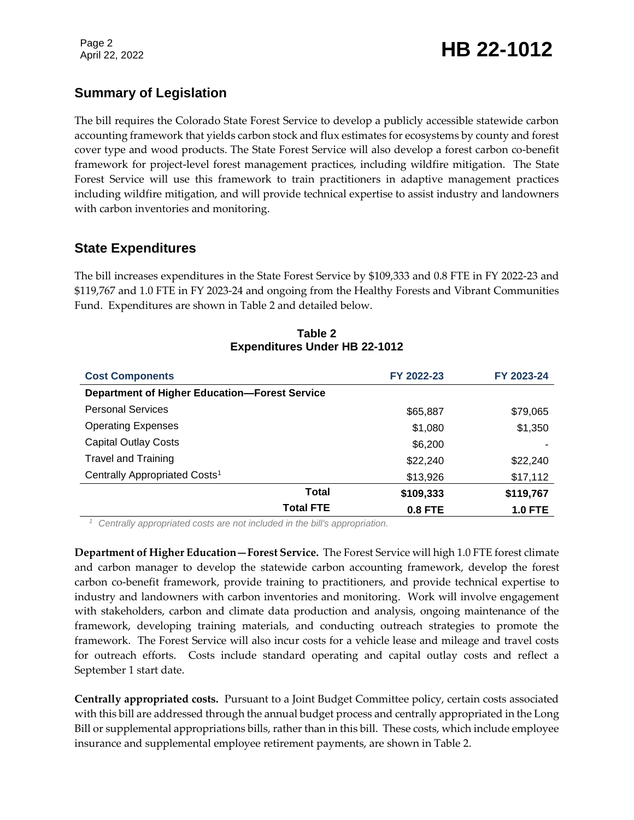# **Summary of Legislation**

The bill requires the Colorado State Forest Service to develop a publicly accessible statewide carbon accounting framework that yields carbon stock and flux estimates for ecosystems by county and forest cover type and wood products. The State Forest Service will also develop a forest carbon co-benefit framework for project-level forest management practices, including wildfire mitigation. The State Forest Service will use this framework to train practitioners in adaptive management practices including wildfire mitigation, and will provide technical expertise to assist industry and landowners with carbon inventories and monitoring.

### **State Expenditures**

The bill increases expenditures in the State Forest Service by \$109,333 and 0.8 FTE in FY 2022-23 and \$119,767 and 1.0 FTE in FY 2023-24 and ongoing from the Healthy Forests and Vibrant Communities Fund. Expenditures are shown in Table 2 and detailed below.

| <b>Cost Components</b>                               | FY 2022-23     | FY 2023-24     |
|------------------------------------------------------|----------------|----------------|
| <b>Department of Higher Education-Forest Service</b> |                |                |
| <b>Personal Services</b>                             | \$65,887       | \$79,065       |
| <b>Operating Expenses</b>                            | \$1,080        | \$1,350        |
| <b>Capital Outlay Costs</b>                          | \$6,200        |                |
| <b>Travel and Training</b>                           | \$22,240       | \$22,240       |
| Centrally Appropriated Costs <sup>1</sup>            | \$13,926       | \$17,112       |
| Total                                                | \$109,333      | \$119,767      |
| <b>Total FTE</b>                                     | <b>0.8 FTE</b> | <b>1.0 FTE</b> |

#### **Table 2 Expenditures Under HB 22-1012**

*<sup>1</sup> Centrally appropriated costs are not included in the bill's appropriation.*

**Department of Higher Education—Forest Service.** The Forest Service will high 1.0 FTE forest climate and carbon manager to develop the statewide carbon accounting framework, develop the forest carbon co-benefit framework, provide training to practitioners, and provide technical expertise to industry and landowners with carbon inventories and monitoring. Work will involve engagement with stakeholders, carbon and climate data production and analysis, ongoing maintenance of the framework, developing training materials, and conducting outreach strategies to promote the framework. The Forest Service will also incur costs for a vehicle lease and mileage and travel costs for outreach efforts. Costs include standard operating and capital outlay costs and reflect a September 1 start date.

**Centrally appropriated costs.** Pursuant to a Joint Budget Committee policy, certain costs associated with this bill are addressed through the annual budget process and centrally appropriated in the Long Bill or supplemental appropriations bills, rather than in this bill. These costs, which include employee insurance and supplemental employee retirement payments, are shown in Table 2.